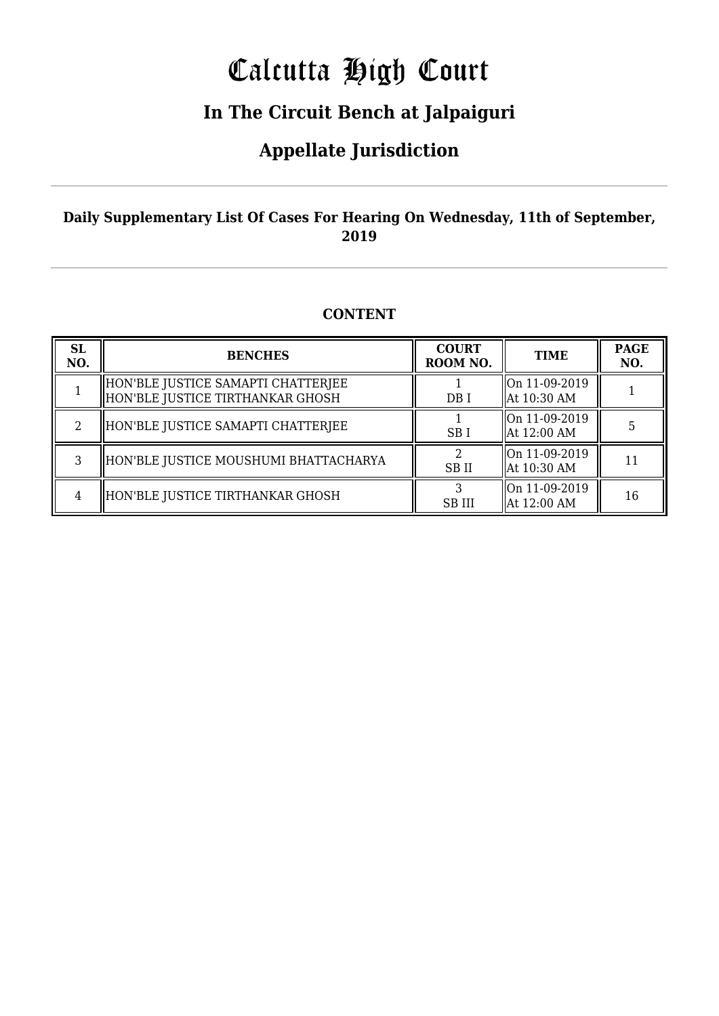# Calcutta High Court

### **In The Circuit Bench at Jalpaiguri**

### **Appellate Jurisdiction**

#### **Daily Supplementary List Of Cases For Hearing On Wednesday, 11th of September, 2019**

#### **CONTENT**

| <b>SL</b><br>NO. | <b>BENCHES</b>                                                           | <b>COURT</b><br>ROOM NO. | <b>TIME</b>                    | <b>PAGE</b><br>NO. |
|------------------|--------------------------------------------------------------------------|--------------------------|--------------------------------|--------------------|
|                  | HON'BLE JUSTICE SAMAPTI CHATTERJEE<br>  HON'BLE JUSTICE TIRTHANKAR GHOSH | DB I                     | On 11-09-2019<br>  At 10:30 AM |                    |
|                  | HON'BLE JUSTICE SAMAPTI CHATTERJEE                                       | SB <sub>I</sub>          | On 11-09-2019<br>  At 12:00 AM |                    |
|                  | HON'BLE JUSTICE MOUSHUMI BHATTACHARYA                                    | <b>SBII</b>              | On 11-09-2019<br>  At 10:30 AM | 11                 |
| 4                | HON'BLE JUSTICE TIRTHANKAR GHOSH                                         | <b>SB III</b>            | On 11-09-2019<br>  At 12:00 AM | 16                 |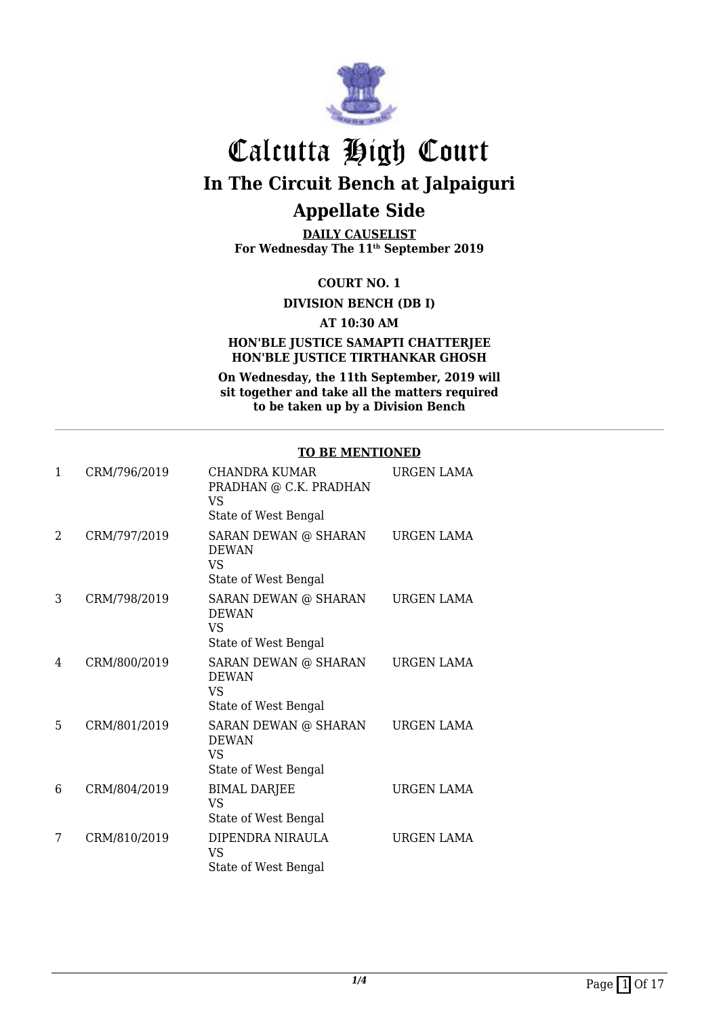

**DAILY CAUSELIST For Wednesday The 11th September 2019**

**COURT NO. 1**

**DIVISION BENCH (DB I)**

**AT 10:30 AM**

#### **HON'BLE JUSTICE SAMAPTI CHATTERJEE HON'BLE JUSTICE TIRTHANKAR GHOSH**

**On Wednesday, the 11th September, 2019 will sit together and take all the matters required to be taken up by a Division Bench**

#### **TO BE MENTIONED**

| 1 | CRM/796/2019 | CHANDRA KUMAR<br>PRADHAN @ C.K. PRADHAN<br>VS<br>State of West Bengal | <b>URGEN LAMA</b> |
|---|--------------|-----------------------------------------------------------------------|-------------------|
| 2 | CRM/797/2019 | SARAN DEWAN @ SHARAN<br><b>DEWAN</b><br>VS<br>State of West Bengal    | URGEN LAMA        |
| 3 | CRM/798/2019 | SARAN DEWAN @ SHARAN<br><b>DEWAN</b><br>VS<br>State of West Bengal    | URGEN LAMA        |
| 4 | CRM/800/2019 | SARAN DEWAN @ SHARAN<br><b>DEWAN</b><br>VS<br>State of West Bengal    | <b>URGEN LAMA</b> |
| 5 | CRM/801/2019 | SARAN DEWAN @ SHARAN<br><b>DEWAN</b><br>VS<br>State of West Bengal    | <b>URGEN LAMA</b> |
| 6 | CRM/804/2019 | <b>BIMAL DARJEE</b><br>VS<br>State of West Bengal                     | URGEN LAMA        |
| 7 | CRM/810/2019 | DIPENDRA NIRAULA<br>VS<br>State of West Bengal                        | <b>URGEN LAMA</b> |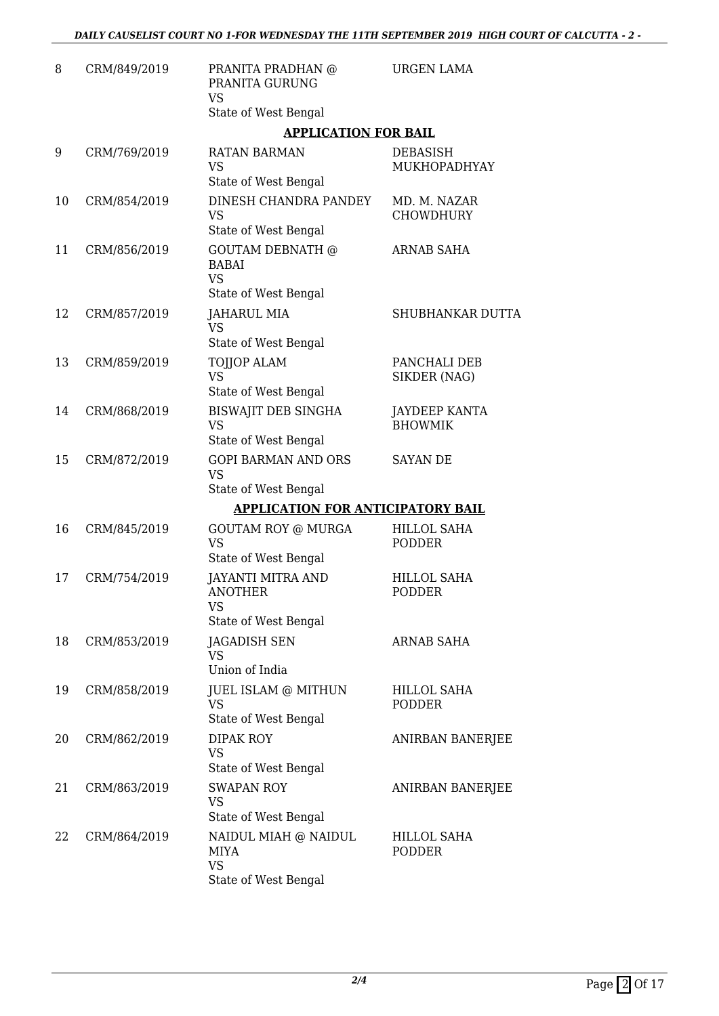| 8  | CRM/849/2019 | PRANITA PRADHAN @<br>PRANITA GURUNG<br><b>VS</b>                                | <b>URGEN LAMA</b>                      |
|----|--------------|---------------------------------------------------------------------------------|----------------------------------------|
|    |              | State of West Bengal                                                            |                                        |
|    |              | <b>APPLICATION FOR BAIL</b>                                                     |                                        |
| 9  | CRM/769/2019 | RATAN BARMAN<br><b>VS</b><br>State of West Bengal                               | DEBASISH<br>MUKHOPADHYAY               |
| 10 | CRM/854/2019 | <b>DINESH CHANDRA PANDEY</b><br><b>VS</b><br>State of West Bengal               | MD. M. NAZAR<br><b>CHOWDHURY</b>       |
| 11 | CRM/856/2019 | <b>GOUTAM DEBNATH @</b><br><b>BABAI</b><br><b>VS</b>                            | <b>ARNAB SAHA</b>                      |
| 12 | CRM/857/2019 | State of West Bengal<br>JAHARUL MIA<br><b>VS</b>                                | SHUBHANKAR DUTTA                       |
|    |              | State of West Bengal                                                            |                                        |
| 13 | CRM/859/2019 | <b>TOJJOP ALAM</b><br><b>VS</b><br>State of West Bengal                         | PANCHALI DEB<br>SIKDER (NAG)           |
| 14 | CRM/868/2019 | <b>BISWAJIT DEB SINGHA</b><br><b>VS</b><br>State of West Bengal                 | <b>JAYDEEP KANTA</b><br><b>BHOWMIK</b> |
| 15 | CRM/872/2019 | <b>GOPI BARMAN AND ORS</b><br><b>VS</b><br>State of West Bengal                 | <b>SAYAN DE</b>                        |
|    |              | <b>APPLICATION FOR ANTICIPATORY BAIL</b>                                        |                                        |
| 16 | CRM/845/2019 | <b>GOUTAM ROY @ MURGA</b>                                                       | <b>HILLOL SAHA</b>                     |
|    |              | <b>VS</b><br>State of West Bengal                                               | <b>PODDER</b>                          |
| 17 | CRM/754/2019 | <b>JAYANTI MITRA AND</b><br><b>ANOTHER</b><br><b>VS</b><br>State of West Bengal | <b>HILLOL SAHA</b><br><b>PODDER</b>    |
| 18 | CRM/853/2019 | JAGADISH SEN<br><b>VS</b><br>Union of India                                     | <b>ARNAB SAHA</b>                      |
| 19 | CRM/858/2019 | <b>JUEL ISLAM @ MITHUN</b><br><b>VS</b><br>State of West Bengal                 | <b>HILLOL SAHA</b><br><b>PODDER</b>    |
| 20 | CRM/862/2019 | DIPAK ROY<br><b>VS</b><br>State of West Bengal                                  | ANIRBAN BANERJEE                       |
| 21 | CRM/863/2019 | <b>SWAPAN ROY</b><br><b>VS</b><br>State of West Bengal                          | ANIRBAN BANERJEE                       |
| 22 | CRM/864/2019 | NAIDUL MIAH @ NAIDUL<br><b>MIYA</b><br><b>VS</b><br>State of West Bengal        | HILLOL SAHA<br><b>PODDER</b>           |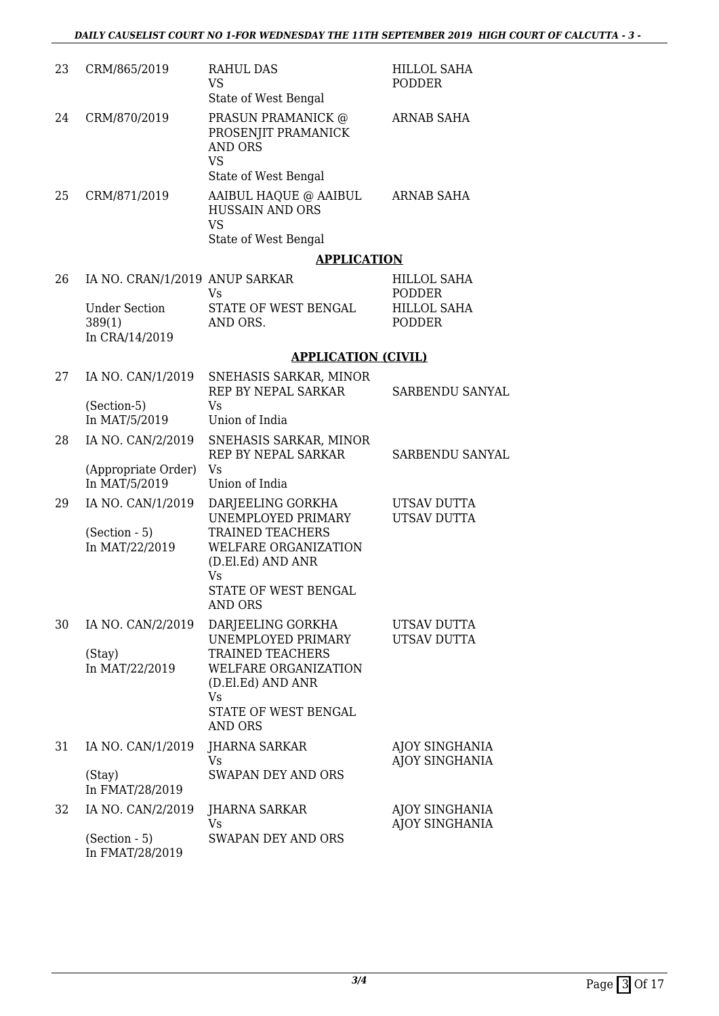| 23 | CRM/865/2019                                     | <b>RAHUL DAS</b><br><b>VS</b>                                                                                            | <b>HILLOL SAHA</b><br><b>PODDER</b> |
|----|--------------------------------------------------|--------------------------------------------------------------------------------------------------------------------------|-------------------------------------|
| 24 | CRM/870/2019                                     | State of West Bengal<br>PRASUN PRAMANICK @<br>PROSENJIT PRAMANICK<br><b>AND ORS</b><br><b>VS</b><br>State of West Bengal | <b>ARNAB SAHA</b>                   |
| 25 | CRM/871/2019                                     | AAIBUL HAQUE @ AAIBUL<br><b>HUSSAIN AND ORS</b><br><b>VS</b><br>State of West Bengal                                     | ARNAB SAHA                          |
|    |                                                  | <b>APPLICATION</b>                                                                                                       |                                     |
| 26 | IA NO. CRAN/1/2019 ANUP SARKAR                   | Vs                                                                                                                       | <b>HILLOL SAHA</b><br>PODDER        |
|    | <b>Under Section</b><br>389(1)<br>In CRA/14/2019 | STATE OF WEST BENGAL<br>AND ORS.                                                                                         | <b>HILLOL SAHA</b><br><b>PODDER</b> |
|    |                                                  | <b>APPLICATION (CIVIL)</b>                                                                                               |                                     |
| 27 | IA NO. CAN/1/2019                                | SNEHASIS SARKAR, MINOR<br>REP BY NEPAL SARKAR                                                                            | SARBENDU SANYAL                     |
|    | (Section-5)<br>In MAT/5/2019                     | Vs<br>Union of India                                                                                                     |                                     |
| 28 | IA NO. CAN/2/2019                                | SNEHASIS SARKAR, MINOR<br>REP BY NEPAL SARKAR                                                                            | SARBENDU SANYAL                     |
|    | (Appropriate Order)<br>In MAT/5/2019             | Vs<br>Union of India                                                                                                     |                                     |
| 29 | IA NO. CAN/1/2019<br>$(Section - 5)$             | DARJEELING GORKHA<br>UNEMPLOYED PRIMARY<br><b>TRAINED TEACHERS</b>                                                       | UTSAV DUTTA<br>UTSAV DUTTA          |
|    | In MAT/22/2019                                   | WELFARE ORGANIZATION<br>(D.El.Ed) AND ANR<br><b>Vs</b>                                                                   |                                     |
|    |                                                  | STATE OF WEST BENGAL<br><b>AND ORS</b>                                                                                   |                                     |
| 30 | IA NO. CAN/2/2019                                | DARJEELING GORKHA<br>UNEMPLOYED PRIMARY                                                                                  | UTSAV DUTTA<br>UTSAV DUTTA          |
|    | (Stay)<br>In MAT/22/2019                         | TRAINED TEACHERS<br>WELFARE ORGANIZATION<br>(D.El.Ed) AND ANR<br>Vs                                                      |                                     |
|    |                                                  | STATE OF WEST BENGAL<br><b>AND ORS</b>                                                                                   |                                     |
| 31 | IA NO. CAN/1/2019                                | JHARNA SARKAR<br>Vs                                                                                                      | AJOY SINGHANIA<br>AJOY SINGHANIA    |
|    | (Stay)<br>In FMAT/28/2019                        | <b>SWAPAN DEY AND ORS</b>                                                                                                |                                     |
| 32 | IA NO. CAN/2/2019                                | JHARNA SARKAR<br>Vs                                                                                                      | AJOY SINGHANIA<br>AJOY SINGHANIA    |
|    | $(Section - 5)$<br>In FMAT/28/2019               | <b>SWAPAN DEY AND ORS</b>                                                                                                |                                     |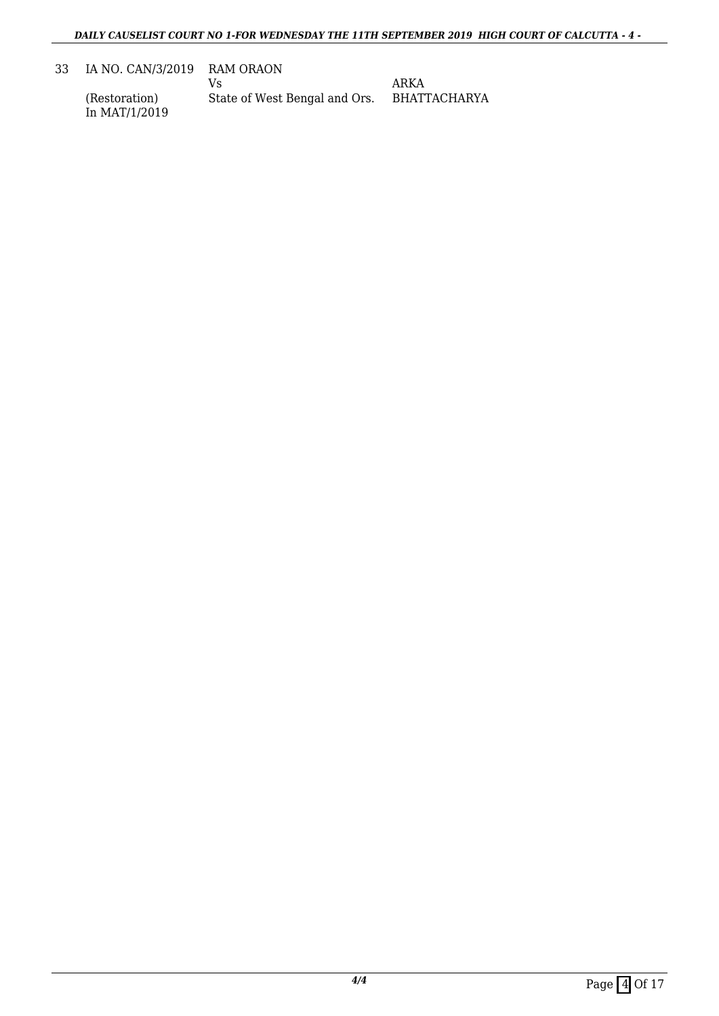33 IA NO. CAN/3/2019 RAM ORAON

(Restoration) In MAT/1/2019

Vs State of West Bengal and Ors. ARKA BHATTACHARYA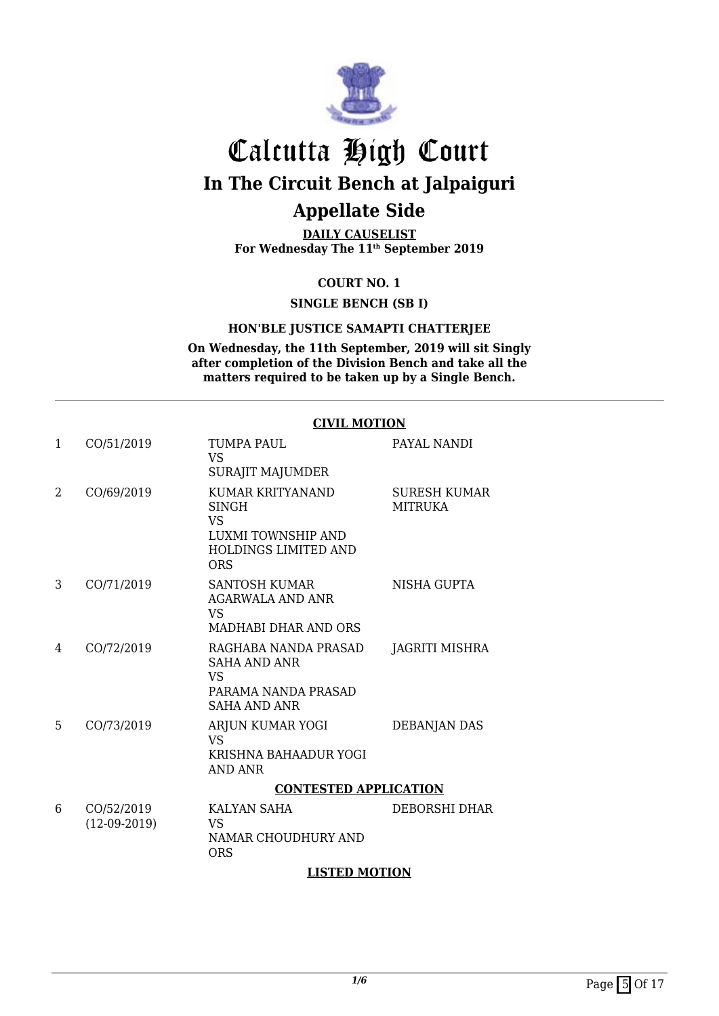

**DAILY CAUSELIST For Wednesday The 11th September 2019**

#### **COURT NO. 1**

**SINGLE BENCH (SB I)**

#### **HON'BLE JUSTICE SAMAPTI CHATTERJEE**

**On Wednesday, the 11th September, 2019 will sit Singly after completion of the Division Bench and take all the matters required to be taken up by a Single Bench.**

#### **CIVIL MOTION**

| $\mathbf{1}$ | CO/51/2019                   | <b>TUMPA PAUL</b><br>VS.<br>SURAJIT MAJUMDER                                                               | PAYAL NANDI                    |
|--------------|------------------------------|------------------------------------------------------------------------------------------------------------|--------------------------------|
| 2            | CO/69/2019                   | KUMAR KRITYANAND<br><b>SINGH</b><br>VS.<br>LUXMI TOWNSHIP AND<br><b>HOLDINGS LIMITED AND</b><br><b>ORS</b> | SURESH KUMAR<br><b>MITRUKA</b> |
| 3            | CO/71/2019                   | <b>SANTOSH KUMAR</b><br>AGARWALA AND ANR<br><b>VS</b><br>MADHABI DHAR AND ORS                              | NISHA GUPTA                    |
| 4            | CO/72/2019                   | RAGHABA NANDA PRASAD<br>SAHA AND ANR<br><b>VS</b><br>PARAMA NANDA PRASAD<br><b>SAHA AND ANR</b>            | JAGRITI MISHRA                 |
| 5            | CO/73/2019                   | ARJUN KUMAR YOGI<br>VS.<br>KRISHNA BAHAADUR YOGI<br><b>AND ANR</b>                                         | DEBANJAN DAS                   |
|              |                              | <b>CONTESTED APPLICATION</b>                                                                               |                                |
| 6            | CO/52/2019<br>$(12-09-2019)$ | KALYAN SAHA<br><b>VS</b><br>NAMAR CHOUDHURY AND<br><b>ORS</b>                                              | DEBORSHI DHAR                  |

#### **LISTED MOTION**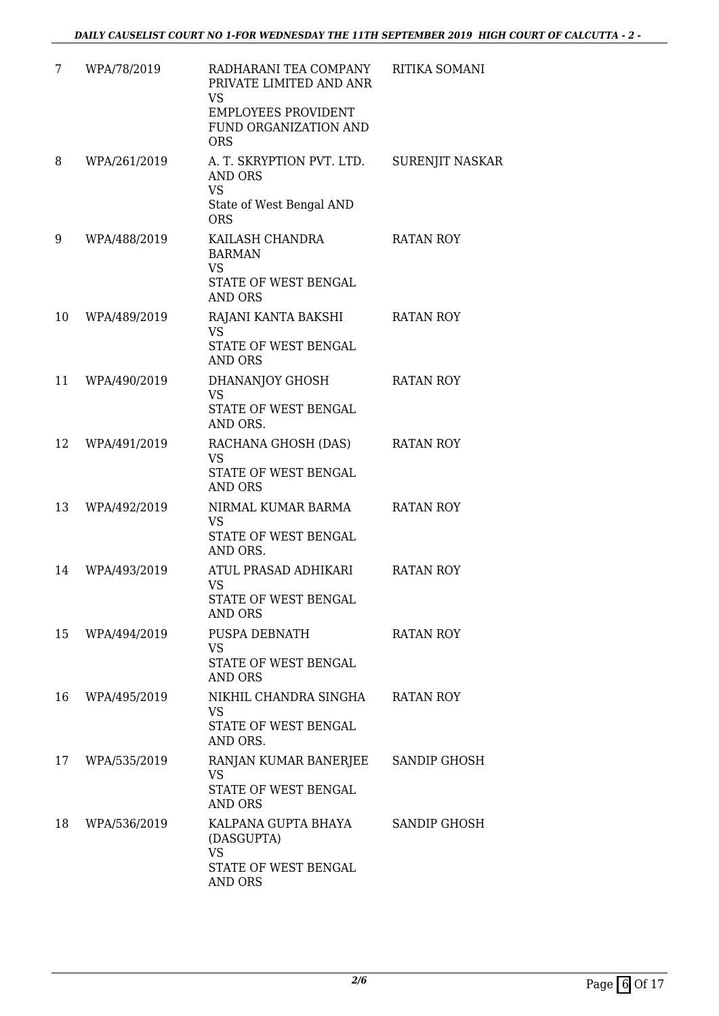| 7  | WPA/78/2019  | RADHARANI TEA COMPANY<br>PRIVATE LIMITED AND ANR<br>VS.<br><b>EMPLOYEES PROVIDENT</b><br>FUND ORGANIZATION AND<br><b>ORS</b> | RITIKA SOMANI    |
|----|--------------|------------------------------------------------------------------------------------------------------------------------------|------------------|
| 8  | WPA/261/2019 | A. T. SKRYPTION PVT. LTD.<br><b>AND ORS</b><br><b>VS</b>                                                                     | SURENJIT NASKAR  |
|    |              | State of West Bengal AND<br><b>ORS</b>                                                                                       |                  |
| 9  | WPA/488/2019 | KAILASH CHANDRA<br><b>BARMAN</b><br><b>VS</b><br>STATE OF WEST BENGAL<br><b>AND ORS</b>                                      | RATAN ROY        |
| 10 | WPA/489/2019 | RAJANI KANTA BAKSHI<br><b>VS</b><br>STATE OF WEST BENGAL<br><b>AND ORS</b>                                                   | <b>RATAN ROY</b> |
| 11 | WPA/490/2019 | DHANANJOY GHOSH<br><b>VS</b><br>STATE OF WEST BENGAL<br>AND ORS.                                                             | <b>RATAN ROY</b> |
| 12 | WPA/491/2019 | RACHANA GHOSH (DAS)<br><b>VS</b><br>STATE OF WEST BENGAL<br><b>AND ORS</b>                                                   | <b>RATAN ROY</b> |
| 13 | WPA/492/2019 | NIRMAL KUMAR BARMA<br><b>VS</b><br>STATE OF WEST BENGAL<br>AND ORS.                                                          | <b>RATAN ROY</b> |
| 14 | WPA/493/2019 | ATUL PRASAD ADHIKARI<br>VS<br>STATE OF WEST BENGAL<br>AND ORS                                                                | RATAN ROY        |
| 15 | WPA/494/2019 | PUSPA DEBNATH<br>VS.<br>STATE OF WEST BENGAL<br><b>AND ORS</b>                                                               | <b>RATAN ROY</b> |
| 16 | WPA/495/2019 | NIKHIL CHANDRA SINGHA<br><b>VS</b><br>STATE OF WEST BENGAL<br>AND ORS.                                                       | <b>RATAN ROY</b> |
| 17 | WPA/535/2019 | RANJAN KUMAR BANERJEE<br><b>VS</b><br>STATE OF WEST BENGAL<br><b>AND ORS</b>                                                 | SANDIP GHOSH     |
| 18 | WPA/536/2019 | KALPANA GUPTA BHAYA<br>(DASGUPTA)<br><b>VS</b><br>STATE OF WEST BENGAL<br><b>AND ORS</b>                                     | SANDIP GHOSH     |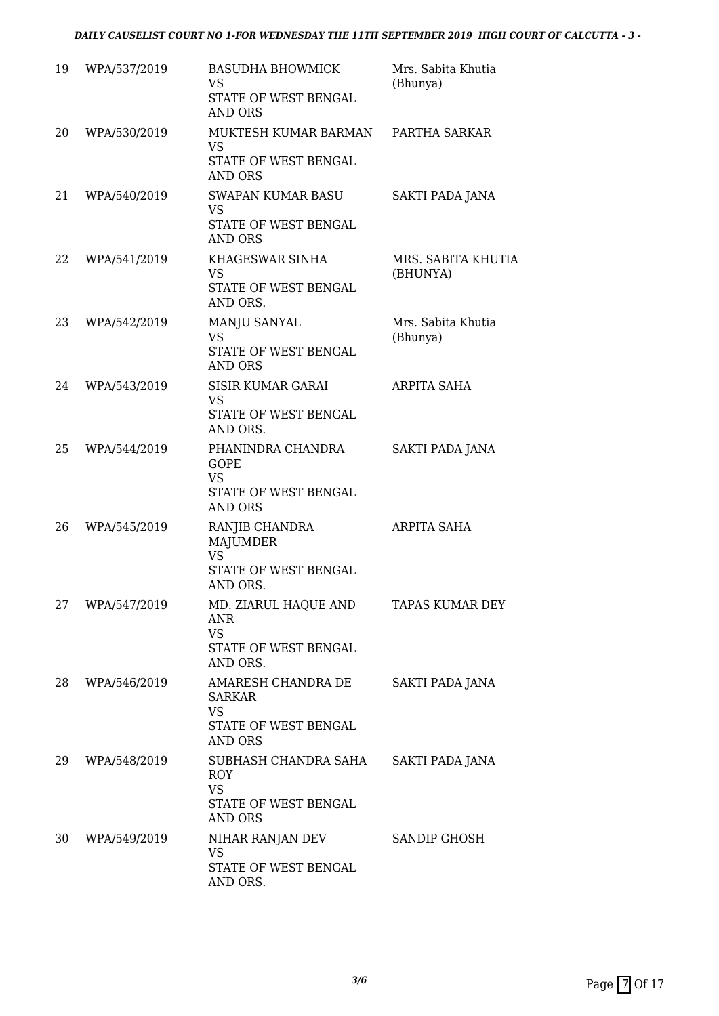| 19 | WPA/537/2019 | <b>BASUDHA BHOWMICK</b><br><b>VS</b><br>STATE OF WEST BENGAL<br><b>AND ORS</b>            | Mrs. Sabita Khutia<br>(Bhunya) |
|----|--------------|-------------------------------------------------------------------------------------------|--------------------------------|
| 20 | WPA/530/2019 | MUKTESH KUMAR BARMAN<br><b>VS</b><br>STATE OF WEST BENGAL<br><b>AND ORS</b>               | PARTHA SARKAR                  |
| 21 | WPA/540/2019 | SWAPAN KUMAR BASU<br><b>VS</b><br>STATE OF WEST BENGAL<br><b>AND ORS</b>                  | SAKTI PADA JANA                |
| 22 | WPA/541/2019 | KHAGESWAR SINHA<br><b>VS</b><br>STATE OF WEST BENGAL<br>AND ORS.                          | MRS. SABITA KHUTIA<br>(BHUNYA) |
| 23 | WPA/542/2019 | MANJU SANYAL<br><b>VS</b><br>STATE OF WEST BENGAL<br><b>AND ORS</b>                       | Mrs. Sabita Khutia<br>(Bhunya) |
| 24 | WPA/543/2019 | <b>SISIR KUMAR GARAI</b><br><b>VS</b><br>STATE OF WEST BENGAL<br>AND ORS.                 | ARPITA SAHA                    |
| 25 | WPA/544/2019 | PHANINDRA CHANDRA<br><b>GOPE</b><br><b>VS</b><br>STATE OF WEST BENGAL<br><b>AND ORS</b>   | <b>SAKTI PADA JANA</b>         |
| 26 | WPA/545/2019 | RANJIB CHANDRA<br><b>MAJUMDER</b><br><b>VS</b><br>STATE OF WEST BENGAL<br>AND ORS.        | ARPITA SAHA                    |
| 27 | WPA/547/2019 | MD. ZIARUL HAQUE AND<br><b>ANR</b><br><b>VS</b><br>STATE OF WEST BENGAL<br>AND ORS.       | TAPAS KUMAR DEY                |
| 28 | WPA/546/2019 | AMARESH CHANDRA DE<br><b>SARKAR</b><br><b>VS</b><br>STATE OF WEST BENGAL<br>AND ORS       | SAKTI PADA JANA                |
| 29 | WPA/548/2019 | SUBHASH CHANDRA SAHA<br><b>ROY</b><br><b>VS</b><br>STATE OF WEST BENGAL<br><b>AND ORS</b> | <b>SAKTI PADA JANA</b>         |
| 30 | WPA/549/2019 | NIHAR RANJAN DEV<br><b>VS</b><br>STATE OF WEST BENGAL<br>AND ORS.                         | SANDIP GHOSH                   |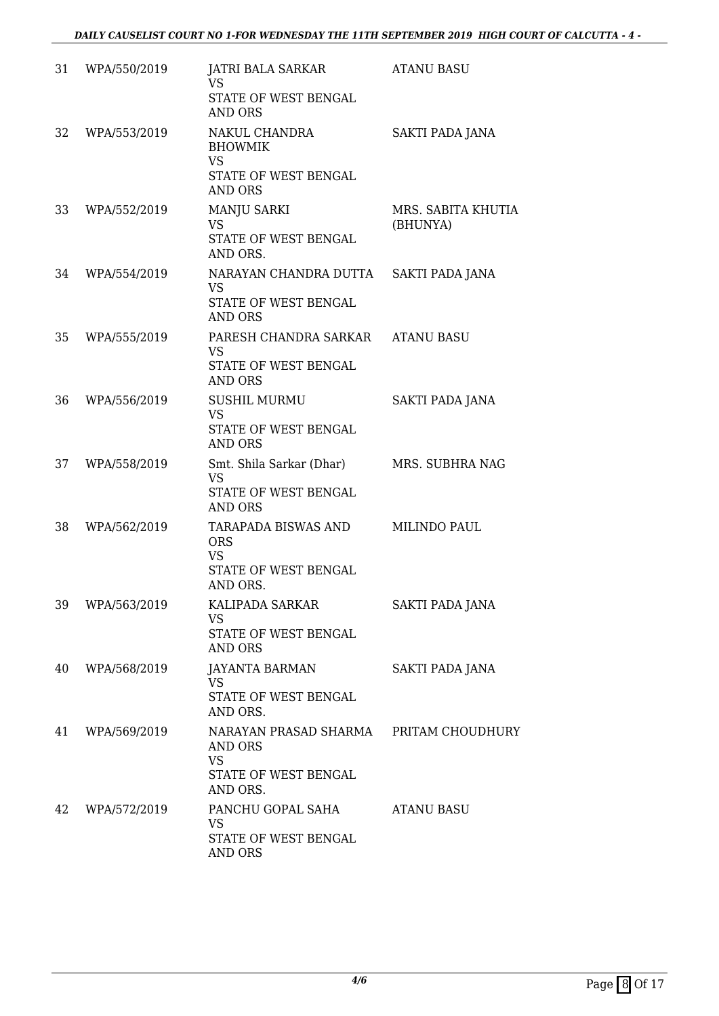| 31 | WPA/550/2019 | JATRI BALA SARKAR<br><b>VS</b><br>STATE OF WEST BENGAL<br>AND ORS                                  | <b>ATANU BASU</b>              |
|----|--------------|----------------------------------------------------------------------------------------------------|--------------------------------|
| 32 | WPA/553/2019 | NAKUL CHANDRA<br><b>BHOWMIK</b><br><b>VS</b><br>STATE OF WEST BENGAL<br><b>AND ORS</b>             | <b>SAKTI PADA JANA</b>         |
| 33 | WPA/552/2019 | MANJU SARKI<br><b>VS</b><br>STATE OF WEST BENGAL<br>AND ORS.                                       | MRS. SABITA KHUTIA<br>(BHUNYA) |
| 34 | WPA/554/2019 | NARAYAN CHANDRA DUTTA<br><b>VS</b><br>STATE OF WEST BENGAL<br><b>AND ORS</b>                       | <b>SAKTI PADA JANA</b>         |
| 35 | WPA/555/2019 | PARESH CHANDRA SARKAR ATANU BASU<br><b>VS</b><br>STATE OF WEST BENGAL<br><b>AND ORS</b>            |                                |
| 36 | WPA/556/2019 | <b>SUSHIL MURMU</b><br><b>VS</b><br>STATE OF WEST BENGAL<br><b>AND ORS</b>                         | SAKTI PADA JANA                |
| 37 | WPA/558/2019 | Smt. Shila Sarkar (Dhar)<br><b>VS</b><br>STATE OF WEST BENGAL<br><b>AND ORS</b>                    | MRS. SUBHRA NAG                |
| 38 | WPA/562/2019 | TARAPADA BISWAS AND<br><b>ORS</b><br><b>VS</b><br>STATE OF WEST BENGAL<br>AND ORS.                 | MILINDO PAUL                   |
| 39 | WPA/563/2019 | KALIPADA SARKAR<br><b>VS</b><br>STATE OF WEST BENGAL<br><b>AND ORS</b>                             | SAKTI PADA JANA                |
| 40 | WPA/568/2019 | <b>JAYANTA BARMAN</b><br><b>VS</b><br>STATE OF WEST BENGAL<br>AND ORS.                             | SAKTI PADA JANA                |
| 41 | WPA/569/2019 | NARAYAN PRASAD SHARMA PRITAM CHOUDHURY<br>AND ORS<br><b>VS</b><br>STATE OF WEST BENGAL<br>AND ORS. |                                |
| 42 | WPA/572/2019 | PANCHU GOPAL SAHA<br>VS<br>STATE OF WEST BENGAL<br>AND ORS                                         | <b>ATANU BASU</b>              |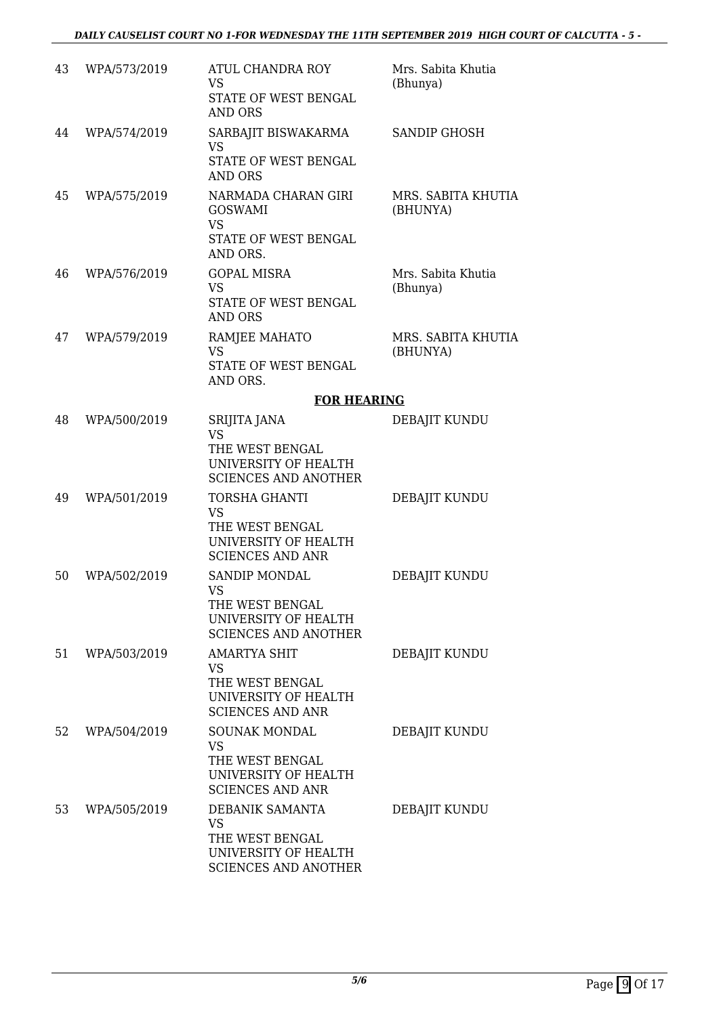| 43 | WPA/573/2019 | <b>ATUL CHANDRA ROY</b><br>VS<br><b>STATE OF WEST BENGAL</b><br><b>AND ORS</b>                         | Mrs. Sabita Khutia<br>(Bhunya) |
|----|--------------|--------------------------------------------------------------------------------------------------------|--------------------------------|
| 44 | WPA/574/2019 | SARBAJIT BISWAKARMA<br><b>VS</b><br>STATE OF WEST BENGAL<br><b>AND ORS</b>                             | <b>SANDIP GHOSH</b>            |
| 45 | WPA/575/2019 | NARMADA CHARAN GIRI<br><b>GOSWAMI</b><br><b>VS</b><br>STATE OF WEST BENGAL<br>AND ORS.                 | MRS. SABITA KHUTIA<br>(BHUNYA) |
| 46 | WPA/576/2019 | <b>GOPAL MISRA</b><br><b>VS</b><br><b>STATE OF WEST BENGAL</b><br><b>AND ORS</b>                       | Mrs. Sabita Khutia<br>(Bhunya) |
| 47 | WPA/579/2019 | RAMJEE MAHATO<br><b>VS</b><br>STATE OF WEST BENGAL<br>AND ORS.                                         | MRS. SABITA KHUTIA<br>(BHUNYA) |
|    |              | <b>FOR HEARING</b>                                                                                     |                                |
| 48 | WPA/500/2019 | SRIJITA JANA<br><b>VS</b><br>THE WEST BENGAL<br>UNIVERSITY OF HEALTH<br><b>SCIENCES AND ANOTHER</b>    | DEBAJIT KUNDU                  |
| 49 | WPA/501/2019 | TORSHA GHANTI<br><b>VS</b><br>THE WEST BENGAL<br>UNIVERSITY OF HEALTH<br><b>SCIENCES AND ANR</b>       | DEBAJIT KUNDU                  |
| 50 | WPA/502/2019 | <b>SANDIP MONDAL</b><br>VS<br>THE WEST BENGAL<br>UNIVERSITY OF HEALTH<br><b>SCIENCES AND ANOTHER</b>   | DEBAJIT KUNDU                  |
| 51 | WPA/503/2019 | <b>AMARTYA SHIT</b><br>VS<br>THE WEST BENGAL<br>UNIVERSITY OF HEALTH<br><b>SCIENCES AND ANR</b>        | DEBAJIT KUNDU                  |
| 52 | WPA/504/2019 | <b>SOUNAK MONDAL</b><br>VS.<br>THE WEST BENGAL<br>UNIVERSITY OF HEALTH<br><b>SCIENCES AND ANR</b>      | DEBAJIT KUNDU                  |
| 53 | WPA/505/2019 | DEBANIK SAMANTA<br><b>VS</b><br>THE WEST BENGAL<br>UNIVERSITY OF HEALTH<br><b>SCIENCES AND ANOTHER</b> | DEBAJIT KUNDU                  |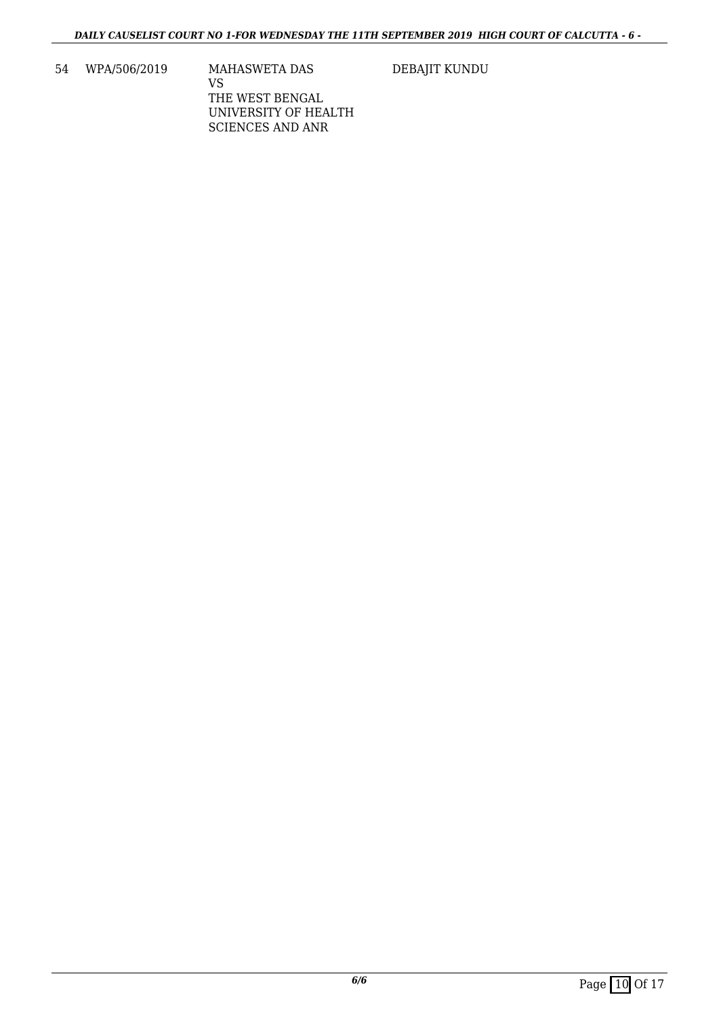54 WPA/506/2019 MAHASWETA DAS

DEBAJIT KUNDU

VS THE WEST BENGAL UNIVERSITY OF HEALTH SCIENCES AND ANR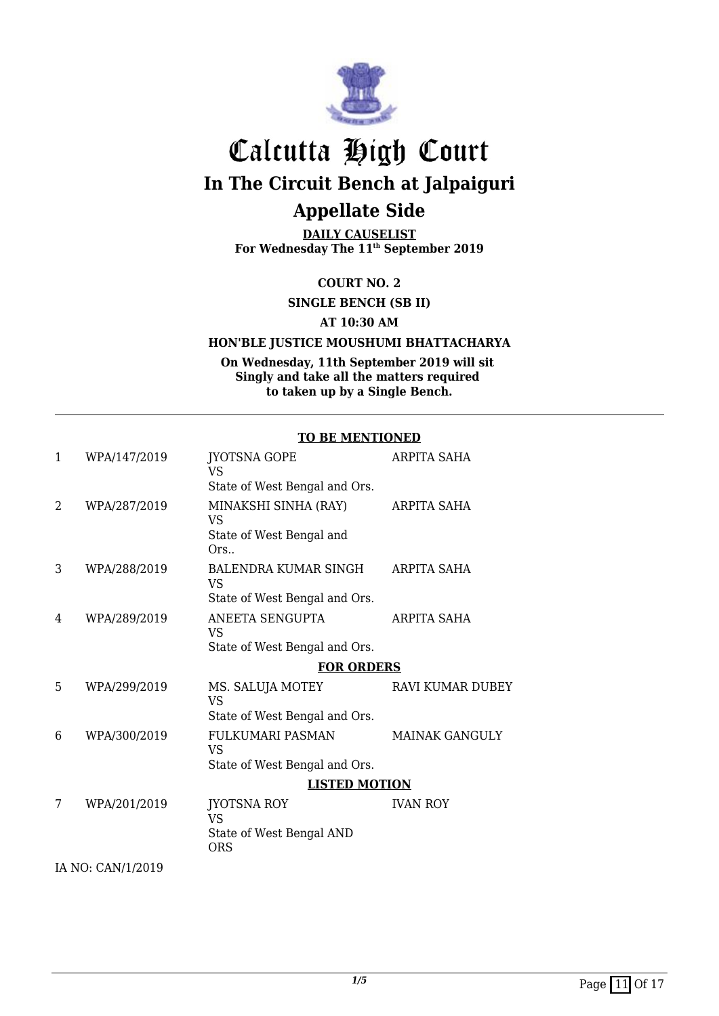

**DAILY CAUSELIST For Wednesday The 11th September 2019**

**COURT NO. 2**

**SINGLE BENCH (SB II)**

**AT 10:30 AM**

#### **HON'BLE JUSTICE MOUSHUMI BHATTACHARYA**

**On Wednesday, 11th September 2019 will sit Singly and take all the matters required to taken up by a Single Bench.**

#### **TO BE MENTIONED**

| 1              | WPA/147/2019      | <b>JYOTSNA GOPE</b><br><b>VS</b>                                          | <b>ARPITA SAHA</b>      |
|----------------|-------------------|---------------------------------------------------------------------------|-------------------------|
|                |                   | State of West Bengal and Ors.                                             |                         |
| $\overline{2}$ | WPA/287/2019      | MINAKSHI SINHA (RAY)<br>VS.<br>State of West Bengal and<br>Ors            | ARPITA SAHA             |
| 3              | WPA/288/2019      | BALENDRA KUMAR SINGH<br><b>VS</b><br>State of West Bengal and Ors.        | ARPITA SAHA             |
| 4              | WPA/289/2019      | ANEETA SENGUPTA<br>VS<br>State of West Bengal and Ors.                    | ARPITA SAHA             |
|                |                   | <b>FOR ORDERS</b>                                                         |                         |
| 5              | WPA/299/2019      | MS. SALUJA MOTEY<br><b>VS</b>                                             | <b>RAVI KUMAR DUBEY</b> |
|                |                   | State of West Bengal and Ors.                                             |                         |
| 6              | WPA/300/2019      | FULKUMARI PASMAN<br><b>VS</b>                                             | <b>MAINAK GANGULY</b>   |
|                |                   | State of West Bengal and Ors.                                             |                         |
|                |                   | <b>LISTED MOTION</b>                                                      |                         |
| 7              | WPA/201/2019      | <b>JYOTSNA ROY</b><br><b>VS</b><br>State of West Bengal AND<br><b>ORS</b> | <b>IVAN ROY</b>         |
|                | IA NO: CAN/1/2019 |                                                                           |                         |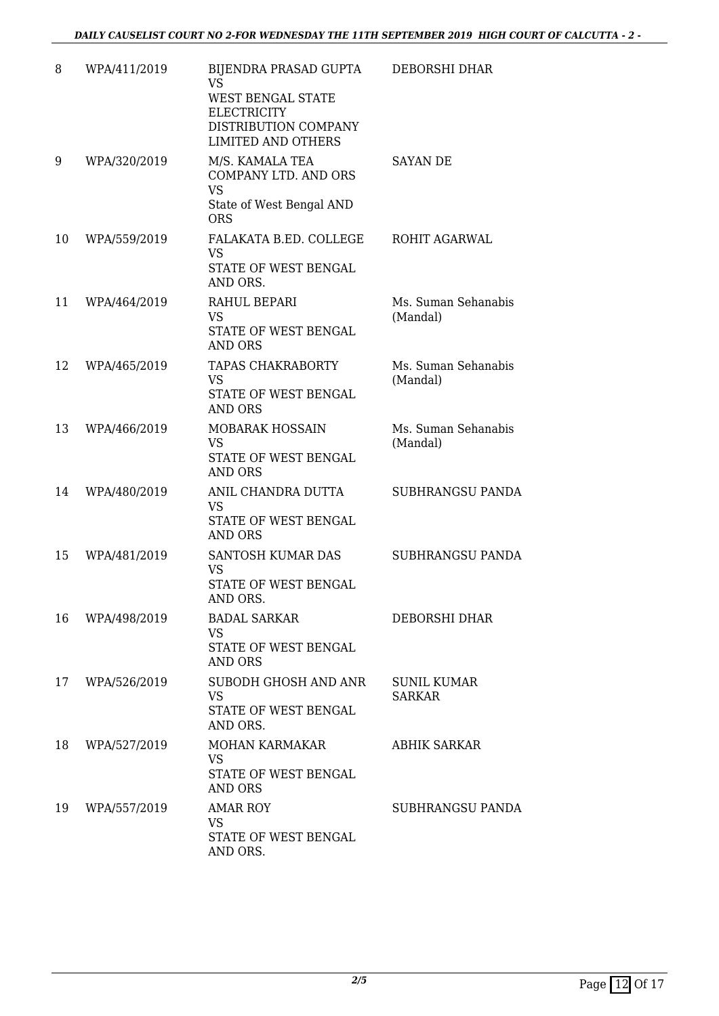| 8  | WPA/411/2019 | BIJENDRA PRASAD GUPTA<br><b>VS</b><br>WEST BENGAL STATE<br><b>ELECTRICITY</b><br>DISTRIBUTION COMPANY<br><b>LIMITED AND OTHERS</b> | DEBORSHI DHAR                       |
|----|--------------|------------------------------------------------------------------------------------------------------------------------------------|-------------------------------------|
| 9  | WPA/320/2019 | M/S. KAMALA TEA<br><b>COMPANY LTD. AND ORS</b><br><b>VS</b><br>State of West Bengal AND<br><b>ORS</b>                              | SAYAN DE                            |
| 10 | WPA/559/2019 | FALAKATA B.ED. COLLEGE<br><b>VS</b><br>STATE OF WEST BENGAL<br>AND ORS.                                                            | ROHIT AGARWAL                       |
| 11 | WPA/464/2019 | RAHUL BEPARI<br>VS<br>STATE OF WEST BENGAL<br>AND ORS                                                                              | Ms. Suman Sehanabis<br>(Mandal)     |
| 12 | WPA/465/2019 | <b>TAPAS CHAKRABORTY</b><br><b>VS</b><br>STATE OF WEST BENGAL<br><b>AND ORS</b>                                                    | Ms. Suman Sehanabis<br>(Mandal)     |
| 13 | WPA/466/2019 | MOBARAK HOSSAIN<br>VS<br>STATE OF WEST BENGAL<br><b>AND ORS</b>                                                                    | Ms. Suman Sehanabis<br>(Mandal)     |
| 14 | WPA/480/2019 | ANIL CHANDRA DUTTA<br><b>VS</b><br>STATE OF WEST BENGAL<br><b>AND ORS</b>                                                          | SUBHRANGSU PANDA                    |
| 15 | WPA/481/2019 | SANTOSH KUMAR DAS<br><b>VS</b><br>STATE OF WEST BENGAL<br>AND ORS.                                                                 | SUBHRANGSU PANDA                    |
| 16 | WPA/498/2019 | <b>BADAL SARKAR</b><br><b>VS</b><br>STATE OF WEST BENGAL<br><b>AND ORS</b>                                                         | DEBORSHI DHAR                       |
| 17 | WPA/526/2019 | SUBODH GHOSH AND ANR<br><b>VS</b><br>STATE OF WEST BENGAL<br>AND ORS.                                                              | <b>SUNIL KUMAR</b><br><b>SARKAR</b> |
| 18 | WPA/527/2019 | MOHAN KARMAKAR<br><b>VS</b><br>STATE OF WEST BENGAL<br>AND ORS                                                                     | ABHIK SARKAR                        |
| 19 | WPA/557/2019 | <b>AMAR ROY</b><br><b>VS</b><br>STATE OF WEST BENGAL<br>AND ORS.                                                                   | SUBHRANGSU PANDA                    |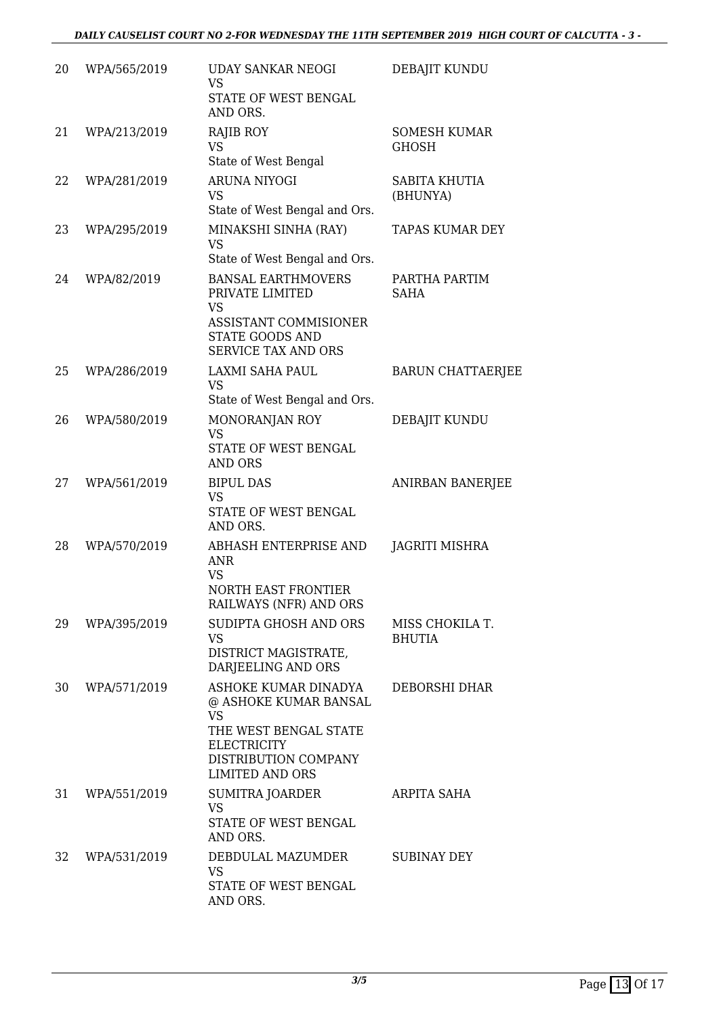| 20 | WPA/565/2019 | <b>UDAY SANKAR NEOGI</b><br><b>VS</b><br>STATE OF WEST BENGAL<br>AND ORS.                                                                                   | DEBAJIT KUNDU                       |
|----|--------------|-------------------------------------------------------------------------------------------------------------------------------------------------------------|-------------------------------------|
| 21 | WPA/213/2019 | <b>RAJIB ROY</b><br><b>VS</b><br>State of West Bengal                                                                                                       | <b>SOMESH KUMAR</b><br><b>GHOSH</b> |
| 22 | WPA/281/2019 | <b>ARUNA NIYOGI</b><br><b>VS</b><br>State of West Bengal and Ors.                                                                                           | SABITA KHUTIA<br>(BHUNYA)           |
| 23 | WPA/295/2019 | MINAKSHI SINHA (RAY)<br><b>VS</b><br>State of West Bengal and Ors.                                                                                          | <b>TAPAS KUMAR DEY</b>              |
| 24 | WPA/82/2019  | <b>BANSAL EARTHMOVERS</b><br>PRIVATE LIMITED<br><b>VS</b><br>ASSISTANT COMMISIONER<br>STATE GOODS AND<br><b>SERVICE TAX AND ORS</b>                         | PARTHA PARTIM<br><b>SAHA</b>        |
| 25 | WPA/286/2019 | LAXMI SAHA PAUL<br><b>VS</b><br>State of West Bengal and Ors.                                                                                               | <b>BARUN CHATTAERJEE</b>            |
| 26 | WPA/580/2019 | MONORANJAN ROY<br><b>VS</b><br>STATE OF WEST BENGAL<br><b>AND ORS</b>                                                                                       | DEBAJIT KUNDU                       |
| 27 | WPA/561/2019 | <b>BIPUL DAS</b><br><b>VS</b><br>STATE OF WEST BENGAL<br>AND ORS.                                                                                           | ANIRBAN BANERJEE                    |
| 28 | WPA/570/2019 | ABHASH ENTERPRISE AND<br><b>ANR</b><br><b>VS</b><br><b>NORTH EAST FRONTIER</b><br>RAILWAYS (NFR) AND ORS                                                    | JAGRITI MISHRA                      |
| 29 | WPA/395/2019 | SUDIPTA GHOSH AND ORS<br><b>VS</b><br>DISTRICT MAGISTRATE,<br>DARJEELING AND ORS                                                                            | MISS CHOKILA T.<br><b>BHUTIA</b>    |
| 30 | WPA/571/2019 | ASHOKE KUMAR DINADYA<br>@ ASHOKE KUMAR BANSAL<br><b>VS</b><br>THE WEST BENGAL STATE<br><b>ELECTRICITY</b><br>DISTRIBUTION COMPANY<br><b>LIMITED AND ORS</b> | DEBORSHI DHAR                       |
| 31 | WPA/551/2019 | SUMITRA JOARDER<br><b>VS</b><br>STATE OF WEST BENGAL<br>AND ORS.                                                                                            | ARPITA SAHA                         |
| 32 | WPA/531/2019 | DEBDULAL MAZUMDER<br><b>VS</b><br>STATE OF WEST BENGAL<br>AND ORS.                                                                                          | <b>SUBINAY DEY</b>                  |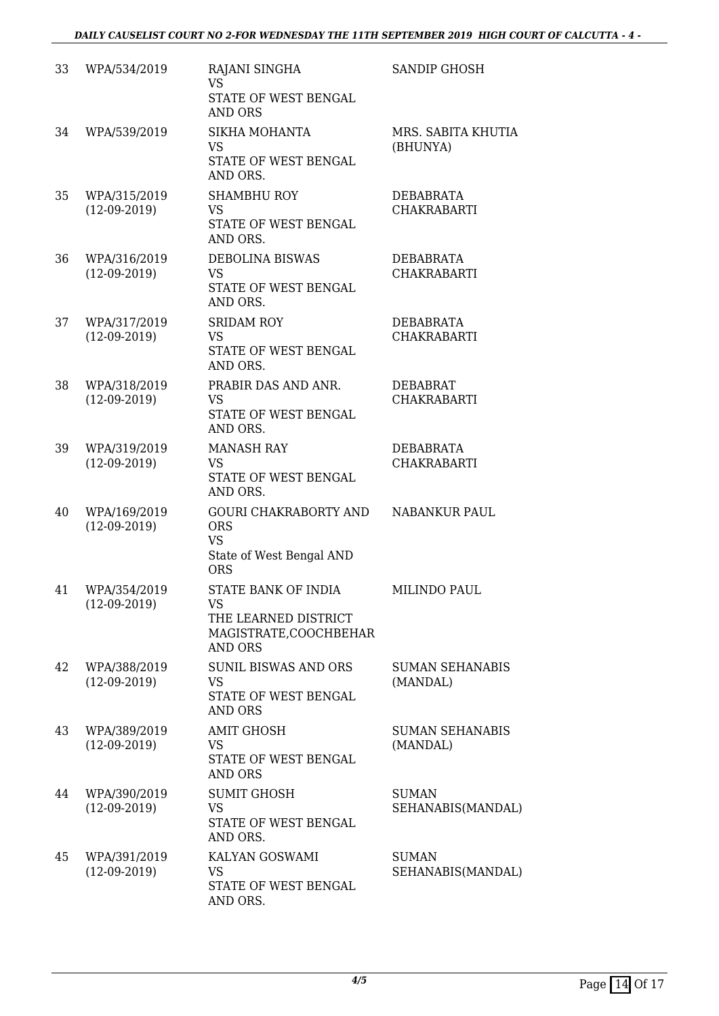| 33 | WPA/534/2019                   | RAJANI SINGHA<br><b>VS</b><br>STATE OF WEST BENGAL<br><b>AND ORS</b>                              | <b>SANDIP GHOSH</b>                    |
|----|--------------------------------|---------------------------------------------------------------------------------------------------|----------------------------------------|
| 34 | WPA/539/2019                   | SIKHA MOHANTA<br><b>VS</b><br>STATE OF WEST BENGAL<br>AND ORS.                                    | MRS. SABITA KHUTIA<br>(BHUNYA)         |
| 35 | WPA/315/2019<br>$(12-09-2019)$ | <b>SHAMBHU ROY</b><br><b>VS</b><br>STATE OF WEST BENGAL<br>AND ORS.                               | DEBABRATA<br><b>CHAKRABARTI</b>        |
| 36 | WPA/316/2019<br>$(12-09-2019)$ | <b>DEBOLINA BISWAS</b><br><b>VS</b><br>STATE OF WEST BENGAL<br>AND ORS.                           | DEBABRATA<br><b>CHAKRABARTI</b>        |
| 37 | WPA/317/2019<br>$(12-09-2019)$ | <b>SRIDAM ROY</b><br><b>VS</b><br>STATE OF WEST BENGAL<br>AND ORS.                                | <b>DEBABRATA</b><br><b>CHAKRABARTI</b> |
| 38 | WPA/318/2019<br>$(12-09-2019)$ | PRABIR DAS AND ANR.<br><b>VS</b><br>STATE OF WEST BENGAL<br>AND ORS.                              | <b>DEBABRAT</b><br><b>CHAKRABARTI</b>  |
| 39 | WPA/319/2019<br>$(12-09-2019)$ | <b>MANASH RAY</b><br><b>VS</b><br>STATE OF WEST BENGAL<br>AND ORS.                                | <b>DEBABRATA</b><br><b>CHAKRABARTI</b> |
| 40 | WPA/169/2019<br>$(12-09-2019)$ | <b>GOURI CHAKRABORTY AND</b><br><b>ORS</b><br><b>VS</b><br>State of West Bengal AND<br><b>ORS</b> | <b>NABANKUR PAUL</b>                   |
| 41 | WPA/354/2019<br>$(12-09-2019)$ | STATE BANK OF INDIA<br>VS<br>THE LEARNED DISTRICT<br>MAGISTRATE, COOCHBEHAR<br><b>AND ORS</b>     | <b>MILINDO PAUL</b>                    |
| 42 | WPA/388/2019<br>$(12-09-2019)$ | <b>SUNIL BISWAS AND ORS</b><br>VS<br>STATE OF WEST BENGAL<br><b>AND ORS</b>                       | <b>SUMAN SEHANABIS</b><br>(MANDAL)     |
| 43 | WPA/389/2019<br>$(12-09-2019)$ | <b>AMIT GHOSH</b><br>VS<br>STATE OF WEST BENGAL<br><b>AND ORS</b>                                 | <b>SUMAN SEHANABIS</b><br>(MANDAL)     |
| 44 | WPA/390/2019<br>$(12-09-2019)$ | <b>SUMIT GHOSH</b><br><b>VS</b><br>STATE OF WEST BENGAL<br>AND ORS.                               | <b>SUMAN</b><br>SEHANABIS(MANDAL)      |
| 45 | WPA/391/2019<br>$(12-09-2019)$ | KALYAN GOSWAMI<br>VS<br>STATE OF WEST BENGAL<br>AND ORS.                                          | <b>SUMAN</b><br>SEHANABIS(MANDAL)      |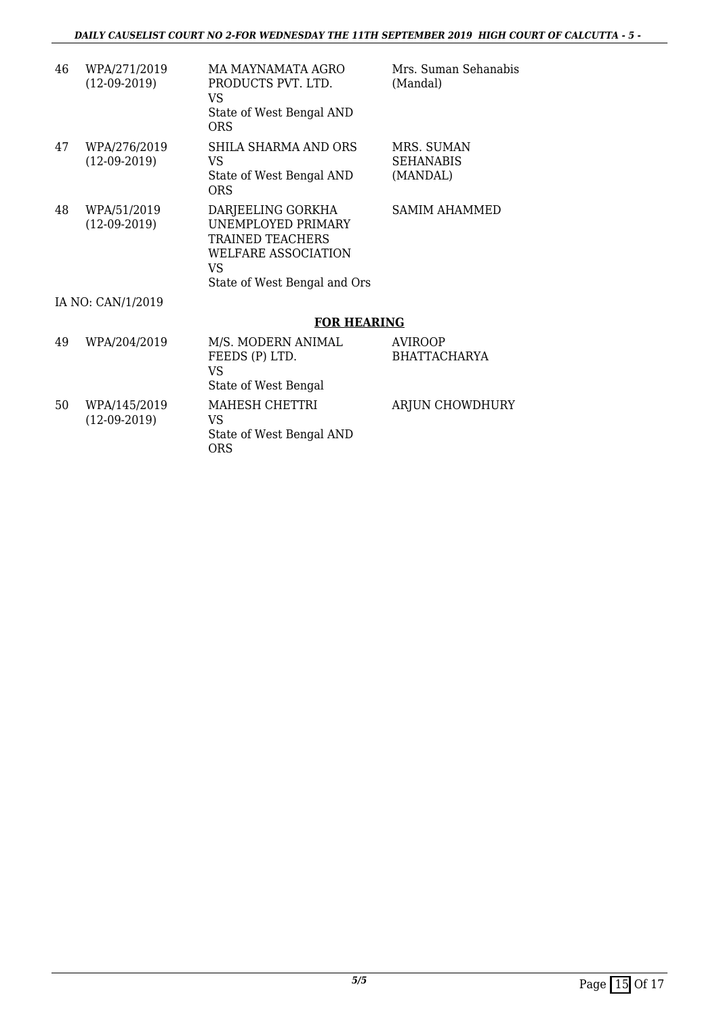| 46                | WPA/271/2019<br>$(12-09-2019)$ | MA MAYNAMATA AGRO<br>PRODUCTS PVT. LTD.<br>VS<br>State of West Bengal AND<br><b>ORS</b>                                          | Mrs. Suman Sehanabis<br>(Mandal)           |  |  |  |
|-------------------|--------------------------------|----------------------------------------------------------------------------------------------------------------------------------|--------------------------------------------|--|--|--|
| 47                | WPA/276/2019<br>$(12-09-2019)$ | SHILA SHARMA AND ORS<br>VS<br>State of West Bengal AND<br><b>ORS</b>                                                             | MRS. SUMAN<br><b>SEHANABIS</b><br>(MANDAL) |  |  |  |
| 48                | WPA/51/2019<br>$(12-09-2019)$  | DARJEELING GORKHA<br>UNEMPLOYED PRIMARY<br><b>TRAINED TEACHERS</b><br>WELFARE ASSOCIATION<br>VS.<br>State of West Bengal and Ors | <b>SAMIM AHAMMED</b>                       |  |  |  |
| IA NO: CAN/1/2019 |                                |                                                                                                                                  |                                            |  |  |  |
|                   |                                | <b>FOR HEARING</b>                                                                                                               |                                            |  |  |  |
| 49                | WPA/204/2019                   | M/S. MODERN ANIMAL<br>FEEDS (P) LTD.<br><b>VS</b><br>State of West Bengal                                                        | <b>AVIROOP</b><br><b>BHATTACHARYA</b>      |  |  |  |
| 50                | WPA/145/2019<br>$(12-09-2019)$ | MAHESH CHETTRI<br>VS.<br>State of West Bengal AND<br><b>ORS</b>                                                                  | ARJUN CHOWDHURY                            |  |  |  |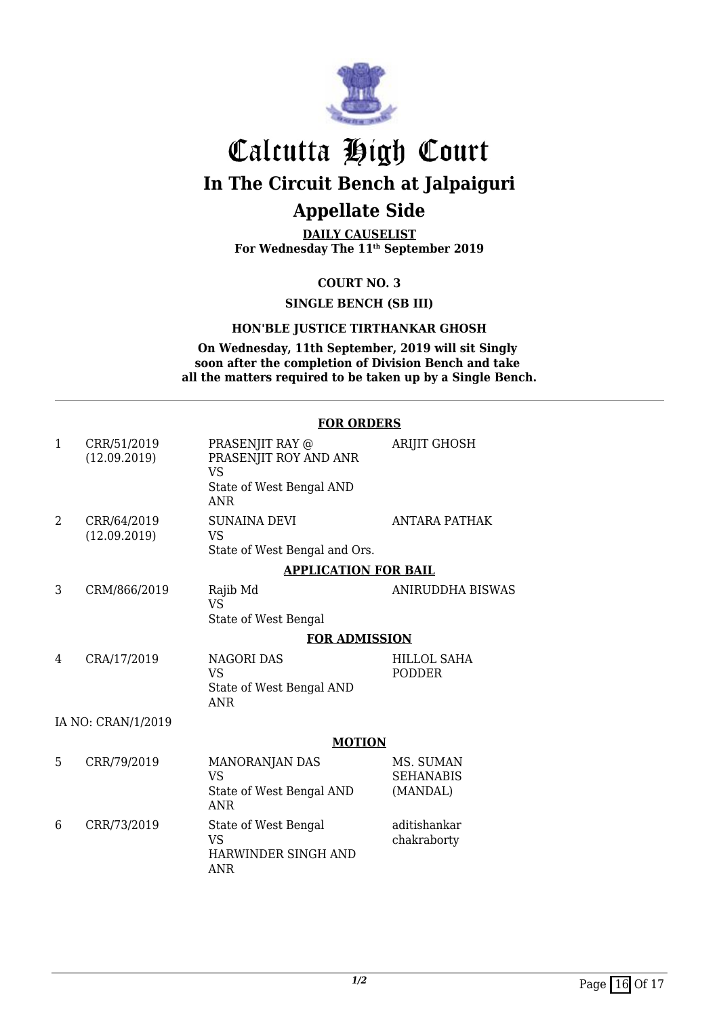

**DAILY CAUSELIST For Wednesday The 11th September 2019**

**COURT NO. 3**

**SINGLE BENCH (SB III)**

#### **HON'BLE JUSTICE TIRTHANKAR GHOSH**

**On Wednesday, 11th September, 2019 will sit Singly soon after the completion of Division Bench and take all the matters required to be taken up by a Single Bench.**

#### **FOR ORDERS**

| $\mathbf{1}$       | CRR/51/2019<br>(12.09.2019) | PRASENJIT RAY @<br>PRASENJIT ROY AND ANR<br>VS<br>State of West Bengal AND<br><b>ANR</b> | <b>ARIJIT GHOSH</b>                       |  |  |
|--------------------|-----------------------------|------------------------------------------------------------------------------------------|-------------------------------------------|--|--|
| 2                  | CRR/64/2019<br>(12.09.2019) | <b>SUNAINA DEVI</b><br><b>VS</b><br>State of West Bengal and Ors.                        | <b>ANTARA PATHAK</b>                      |  |  |
|                    |                             | <b>APPLICATION FOR BAIL</b>                                                              |                                           |  |  |
| 3                  | CRM/866/2019                | Rajib Md<br>VS<br>State of West Bengal                                                   | ANIRUDDHA BISWAS                          |  |  |
|                    |                             | <b>FOR ADMISSION</b>                                                                     |                                           |  |  |
| 4                  | CRA/17/2019                 | <b>NAGORI DAS</b><br>VS.<br>State of West Bengal AND<br><b>ANR</b>                       | HILLOL SAHA<br><b>PODDER</b>              |  |  |
| IA NO: CRAN/1/2019 |                             |                                                                                          |                                           |  |  |
|                    |                             | <b>MOTION</b>                                                                            |                                           |  |  |
| 5                  | CRR/79/2019                 | <b>MANORANJAN DAS</b><br><b>VS</b><br>State of West Bengal AND<br><b>ANR</b>             | MS. SUMAN<br><b>SEHANABIS</b><br>(MANDAL) |  |  |
| 6                  | CRR/73/2019                 | State of West Bengal<br>VS<br>HARWINDER SINGH AND<br>ANR                                 | aditishankar<br>chakraborty               |  |  |